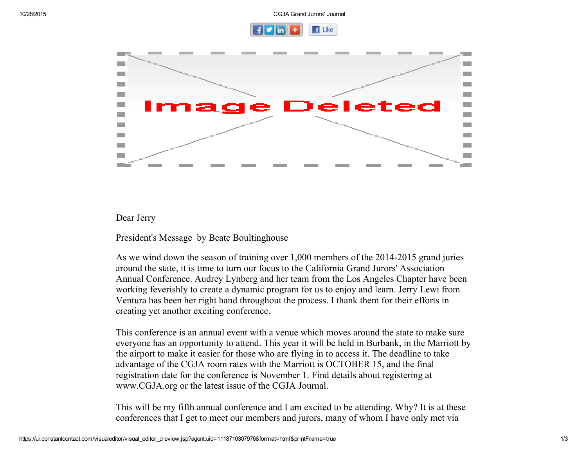



## Dear Jerry

President's Message by Beate Boultinghouse

As we wind down the season of training over 1,000 members of the 2014-2015 grand juries around the state, it is time to turn our focus to the California Grand Jurors' Association Annual Conference. Audrey Lynberg and her team from the Los Angeles Chapter have been working feverishly to create a dynamic program for us to enjoy and learn. Jerry Lewi from Ventura has been her right hand throughout the process. I thank them for their efforts in creating yet another exciting conference.

This conference is an annual event with a venue which moves around the state to make sure everyone has an opportunity to attend. This year it will be held in Burbank, in the Marriott by the airport to make it easier for those who are flying in to access it. The deadline to take advantage of the CGJA room rates with the Marriott is OCTOBER 15, and the final registration date for the conference is November 1. Find details about registering at www.CGJA.org or the latest issue of the CGJA Journal.

This will be my fifth annual conference and I am excited to be attending. Why? It is at these conferences that I get to meet our members and jurors, many of whom I have only met via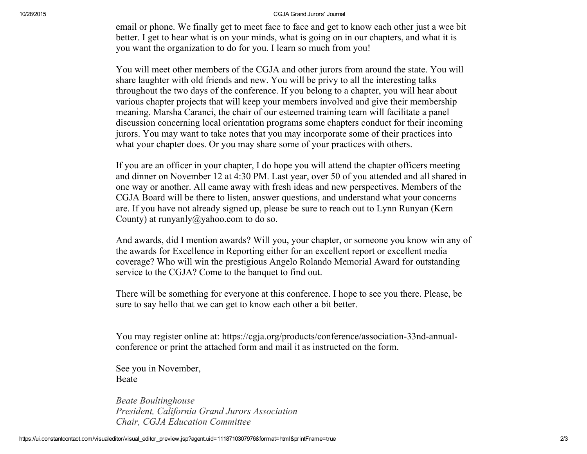## 10/28/2015 CGJA Grand Jurors' Journal

email or phone. We finally get to meet face to face and get to know each other just a wee bit better. I get to hear what is on your minds, what is going on in our chapters, and what it is you want the organization to do for you. I learn so much from you!

You will meet other members of the CGJA and other jurors from around the state. You will share laughter with old friends and new. You will be privy to all the interesting talks throughout the two days of the conference. If you belong to a chapter, you will hear about various chapter projects that will keep your members involved and give their membership meaning. Marsha Caranci, the chair of our esteemed training team will facilitate a panel discussion concerning local orientation programs some chapters conduct for their incoming jurors. You may want to take notes that you may incorporate some of their practices into what your chapter does. Or you may share some of your practices with others.

If you are an officer in your chapter, I do hope you will attend the chapter officers meeting and dinner on November 12 at 4:30 PM. Last year, over 50 of you attended and all shared in one way or another. All came away with fresh ideas and new perspectives. Members of the CGJA Board will be there to listen, answer questions, and understand what your concerns are. If you have not already signed up, please be sure to reach out to Lynn Runyan (Kern County) at runyanly@yahoo.com to do so.

And awards, did I mention awards? Will you, your chapter, or someone you know win any of the awards for Excellence in Reporting either for an excellent report or excellent media coverage? Who will win the prestigious Angelo Rolando Memorial Award for outstanding service to the CGJA? Come to the banquet to find out.

There will be something for everyone at this conference. I hope to see you there. Please, be sure to say hello that we can get to know each other a bit better.

You may register online at: https://cgja.org/products/conference/association-33nd-annualconference or print the attached form and mail it as instructed on the form.

See you in November, Beate

Beate Boultinghouse President, California Grand Jurors Association Chair, CGJA Education Committee